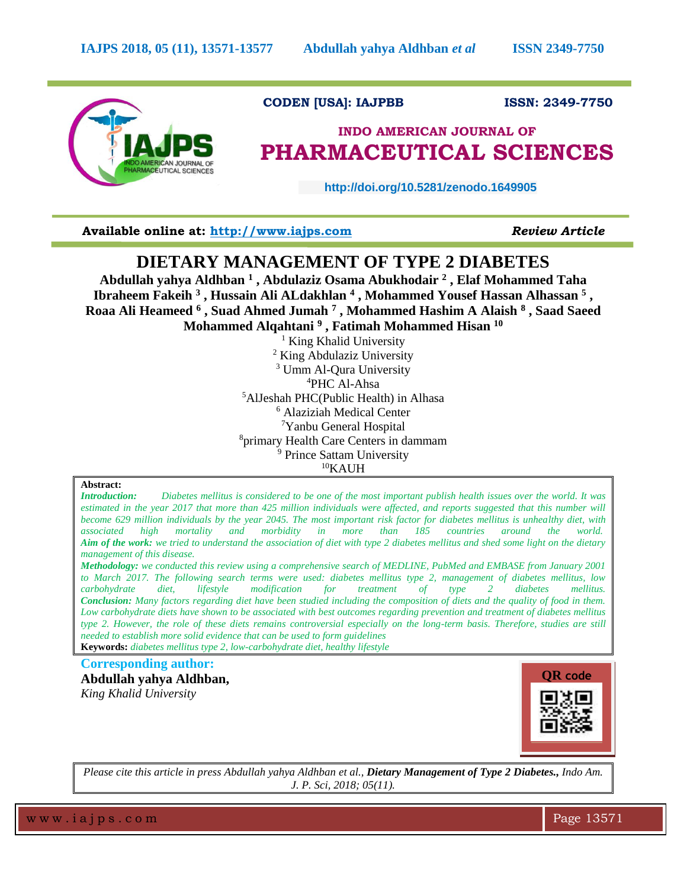

### **CODEN [USA]: IAJPBB ISSN: 2349-7750**

# **INDO AMERICAN JOURNAL OF PHARMACEUTICAL SCIENCES**

 **http://doi.org/10.5281/zenodo.1649905** 

**Available online at: [http://www.iajps.com](http://www.iajps.com/)** *Review Article*

## **DIETARY MANAGEMENT OF TYPE 2 DIABETES**

**Abdullah yahya Aldhban <sup>1</sup> , Abdulaziz Osama Abukhodair <sup>2</sup> , Elaf Mohammed Taha Ibraheem Fakeih <sup>3</sup> , Hussain Ali ALdakhlan <sup>4</sup> , Mohammed Yousef Hassan Alhassan <sup>5</sup> , Roaa Ali Heameed <sup>6</sup> , Suad Ahmed Jumah <sup>7</sup> , Mohammed Hashim A Alaish <sup>8</sup> , Saad Saeed Mohammed Alqahtani <sup>9</sup> , Fatimah Mohammed Hisan <sup>10</sup>**

<sup>1</sup> King Khalid University <sup>2</sup> King Abdulaziz University <sup>3</sup> Umm Al-Oura University <sup>4</sup>PHC Al-Ahsa <sup>5</sup>AlJeshah PHC(Public Health) in Alhasa <sup>6</sup> Alaziziah Medical Center <sup>7</sup>Yanbu General Hospital <sup>8</sup>primary Health Care Centers in dammam <sup>9</sup> Prince Sattam University  $10$ KAUH

#### **Abstract:**

*Introduction: Diabetes mellitus is considered to be one of the most important publish health issues over the world. It was estimated in the year 2017 that more than 425 million individuals were affected, and reports suggested that this number will become 629 million individuals by the year 2045. The most important risk factor for diabetes mellitus is unhealthy diet, with associated high mortality and morbidity in more than 185 countries around the world. Aim of the work: we tried to understand the association of diet with type 2 diabetes mellitus and shed some light on the dietary management of this disease.*

*Methodology: we conducted this review using a comprehensive search of MEDLINE, PubMed and EMBASE from January 2001 to March 2017. The following search terms were used: diabetes mellitus type 2, management of diabetes mellitus, low carbohydrate diet, lifestyle modification for treatment of type 2 diabetes mellitus. Conclusion: Many factors regarding diet have been studied including the composition of diets and the quality of food in them. Low carbohydrate diets have shown to be associated with best outcomes regarding prevention and treatment of diabetes mellitus type 2. However, the role of these diets remains controversial especially on the long-term basis. Therefore, studies are still needed to establish more solid evidence that can be used to form guidelines*

**Keywords:** *diabetes mellitus type 2, low-carbohydrate diet, healthy lifestyle*

#### **Corresponding author:**

**Abdullah yahya Aldhban,** *King Khalid University*



*Please cite this article in press Abdullah yahya Aldhban et al., Dietary Management of Type 2 Diabetes., Indo Am. J. P. Sci, 2018; 05(11).*

w w w .ia j p s . c o m  $\blacksquare$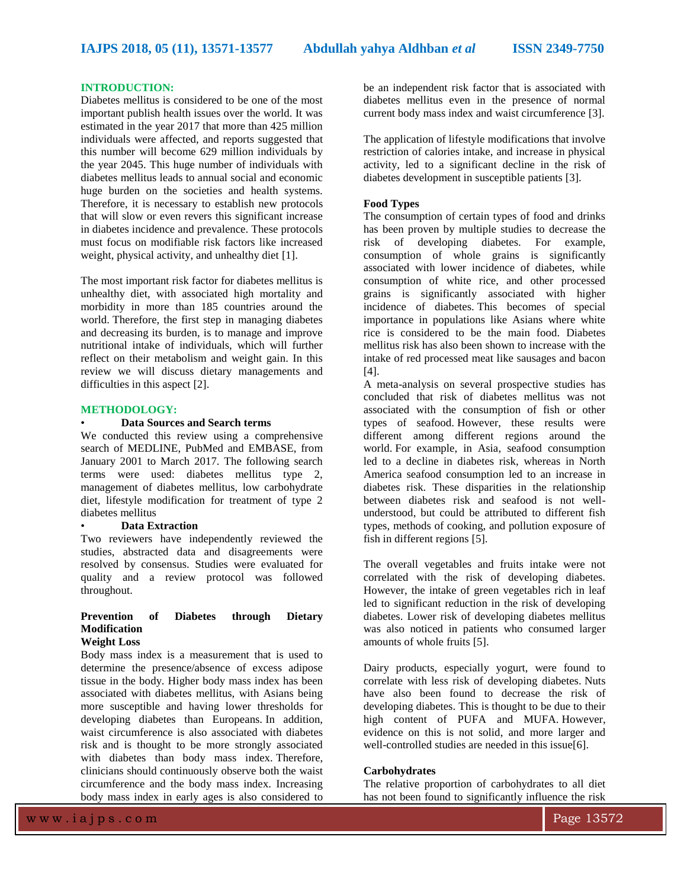#### **INTRODUCTION:**

Diabetes mellitus is considered to be one of the most important publish health issues over the world. It was estimated in the year 2017 that more than 425 million individuals were affected, and reports suggested that this number will become 629 million individuals by the year 2045. This huge number of individuals with diabetes mellitus leads to annual social and economic huge burden on the societies and health systems. Therefore, it is necessary to establish new protocols that will slow or even revers this significant increase in diabetes incidence and prevalence. These protocols must focus on modifiable risk factors like increased weight, physical activity, and unhealthy diet [1].

The most important risk factor for diabetes mellitus is unhealthy diet, with associated high mortality and morbidity in more than 185 countries around the world. Therefore, the first step in managing diabetes and decreasing its burden, is to manage and improve nutritional intake of individuals, which will further reflect on their metabolism and weight gain. In this review we will discuss dietary managements and difficulties in this aspect [2].

#### **METHODOLOGY:**

#### • **Data Sources and Search terms**

We conducted this review using a comprehensive search of MEDLINE, PubMed and EMBASE, from January 2001 to March 2017. The following search terms were used: diabetes mellitus type 2, management of diabetes mellitus, low carbohydrate diet, lifestyle modification for treatment of type 2 diabetes mellitus

#### • **Data Extraction**

Two reviewers have independently reviewed the studies, abstracted data and disagreements were resolved by consensus. Studies were evaluated for quality and a review protocol was followed throughout.

## **Prevention of Diabetes through Dietary Modification**

## **Weight Loss**

Body mass index is a measurement that is used to determine the presence/absence of excess adipose tissue in the body. Higher body mass index has been associated with diabetes mellitus, with Asians being more susceptible and having lower thresholds for developing diabetes than Europeans. In addition, waist circumference is also associated with diabetes risk and is thought to be more strongly associated with diabetes than body mass index. Therefore, clinicians should continuously observe both the waist circumference and the body mass index. Increasing body mass index in early ages is also considered to

be an independent risk factor that is associated with diabetes mellitus even in the presence of normal current body mass index and waist circumference [3].

The application of lifestyle modifications that involve restriction of calories intake, and increase in physical activity, led to a significant decline in the risk of diabetes development in susceptible patients [3].

#### **Food Types**

The consumption of certain types of food and drinks has been proven by multiple studies to decrease the risk of developing diabetes. For example, consumption of whole grains is significantly associated with lower incidence of diabetes, while consumption of white rice, and other processed grains is significantly associated with higher incidence of diabetes. This becomes of special importance in populations like Asians where white rice is considered to be the main food. Diabetes mellitus risk has also been shown to increase with the intake of red processed meat like sausages and bacon [4].

A meta-analysis on several prospective studies has concluded that risk of diabetes mellitus was not associated with the consumption of fish or other types of seafood. However, these results were different among different regions around the world. For example, in Asia, seafood consumption led to a decline in diabetes risk, whereas in North America seafood consumption led to an increase in diabetes risk. These disparities in the relationship between diabetes risk and seafood is not wellunderstood, but could be attributed to different fish types, methods of cooking, and pollution exposure of fish in different regions [5].

The overall vegetables and fruits intake were not correlated with the risk of developing diabetes. However, the intake of green vegetables rich in leaf led to significant reduction in the risk of developing diabetes. Lower risk of developing diabetes mellitus was also noticed in patients who consumed larger amounts of whole fruits [5].

Dairy products, especially yogurt, were found to correlate with less risk of developing diabetes. Nuts have also been found to decrease the risk of developing diabetes. This is thought to be due to their high content of PUFA and MUFA. However, evidence on this is not solid, and more larger and well-controlled studies are needed in this issue[6].

#### **Carbohydrates**

The relative proportion of carbohydrates to all diet has not been found to significantly influence the risk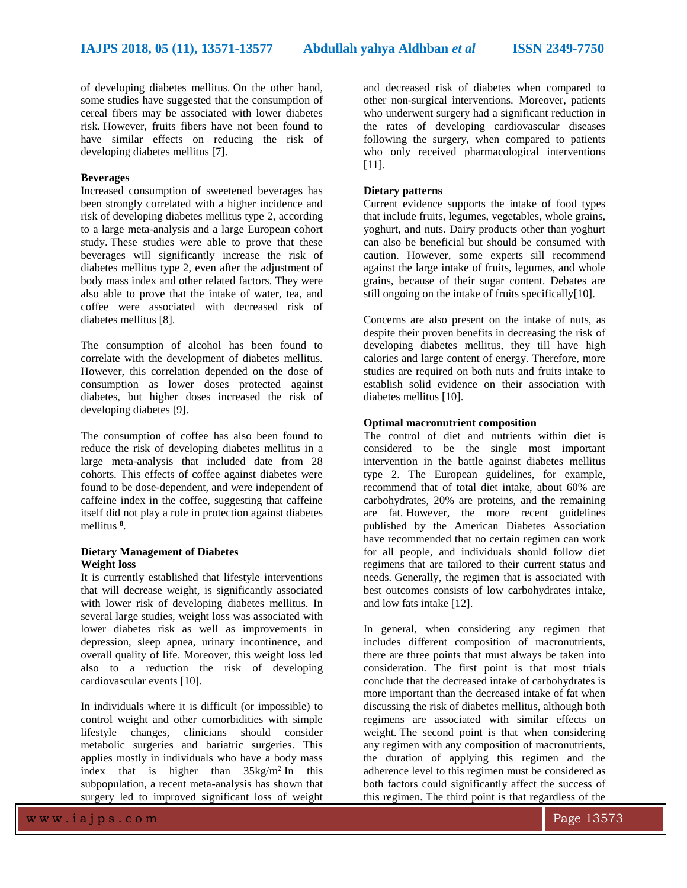of developing diabetes mellitus. On the other hand, some studies have suggested that the consumption of cereal fibers may be associated with lower diabetes risk. However, fruits fibers have not been found to have similar effects on reducing the risk of developing diabetes mellitus [7].

#### **Beverages**

Increased consumption of sweetened beverages has been strongly correlated with a higher incidence and risk of developing diabetes mellitus type 2, according to a large meta-analysis and a large European cohort study. These studies were able to prove that these beverages will significantly increase the risk of diabetes mellitus type 2, even after the adjustment of body mass index and other related factors. They were also able to prove that the intake of water, tea, and coffee were associated with decreased risk of diabetes mellitus [8].

The consumption of alcohol has been found to correlate with the development of diabetes mellitus. However, this correlation depended on the dose of consumption as lower doses protected against diabetes, but higher doses increased the risk of developing diabetes [9].

The consumption of coffee has also been found to reduce the risk of developing diabetes mellitus in a large meta-analysis that included date from 28 cohorts. This effects of coffee against diabetes were found to be dose-dependent, and were independent of caffeine index in the coffee, suggesting that caffeine itself did not play a role in protection against diabetes mellitus **<sup>8</sup>** .

#### **Dietary Management of Diabetes Weight loss**

It is currently established that lifestyle interventions that will decrease weight, is significantly associated with lower risk of developing diabetes mellitus. In several large studies, weight loss was associated with lower diabetes risk as well as improvements in depression, sleep apnea, urinary incontinence, and overall quality of life. Moreover, this weight loss led also to a reduction the risk of developing cardiovascular events [10].

In individuals where it is difficult (or impossible) to control weight and other comorbidities with simple lifestyle changes, clinicians should consider metabolic surgeries and bariatric surgeries. This applies mostly in individuals who have a body mass index that is higher than  $35\text{kg/m}^2$  In this subpopulation, a recent meta-analysis has shown that surgery led to improved significant loss of weight

and decreased risk of diabetes when compared to other non-surgical interventions. Moreover, patients who underwent surgery had a significant reduction in the rates of developing cardiovascular diseases following the surgery, when compared to patients who only received pharmacological interventions [11].

#### **Dietary patterns**

Current evidence supports the intake of food types that include fruits, legumes, vegetables, whole grains, yoghurt, and nuts. Dairy products other than yoghurt can also be beneficial but should be consumed with caution. However, some experts sill recommend against the large intake of fruits, legumes, and whole grains, because of their sugar content. Debates are still ongoing on the intake of fruits specifically[10].

Concerns are also present on the intake of nuts, as despite their proven benefits in decreasing the risk of developing diabetes mellitus, they till have high calories and large content of energy. Therefore, more studies are required on both nuts and fruits intake to establish solid evidence on their association with diabetes mellitus [10].

#### **Optimal macronutrient composition**

The control of diet and nutrients within diet is considered to be the single most important intervention in the battle against diabetes mellitus type 2. The European guidelines, for example, recommend that of total diet intake, about 60% are carbohydrates, 20% are proteins, and the remaining are fat. However, the more recent guidelines published by the American Diabetes Association have recommended that no certain regimen can work for all people, and individuals should follow diet regimens that are tailored to their current status and needs. Generally, the regimen that is associated with best outcomes consists of low carbohydrates intake, and low fats intake [12].

In general, when considering any regimen that includes different composition of macronutrients, there are three points that must always be taken into consideration. The first point is that most trials conclude that the decreased intake of carbohydrates is more important than the decreased intake of fat when discussing the risk of diabetes mellitus, although both regimens are associated with similar effects on weight. The second point is that when considering any regimen with any composition of macronutrients, the duration of applying this regimen and the adherence level to this regimen must be considered as both factors could significantly affect the success of this regimen. The third point is that regardless of the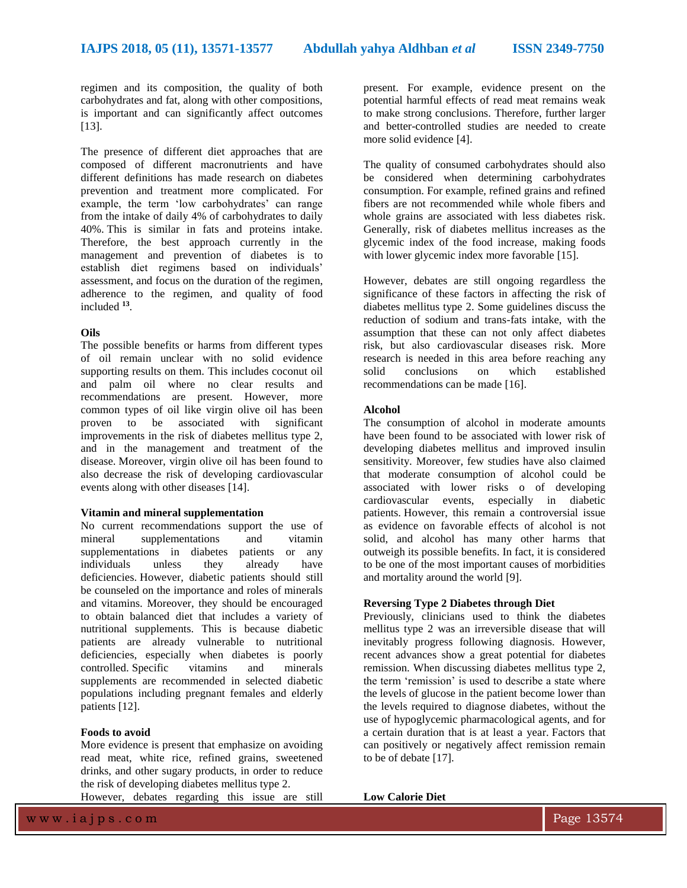regimen and its composition, the quality of both carbohydrates and fat, along with other compositions, is important and can significantly affect outcomes [13].

The presence of different diet approaches that are composed of different macronutrients and have different definitions has made research on diabetes prevention and treatment more complicated. For example, the term 'low carbohydrates' can range from the intake of daily 4% of carbohydrates to daily 40%. This is similar in fats and proteins intake. Therefore, the best approach currently in the management and prevention of diabetes is to establish diet regimens based on individuals' assessment, and focus on the duration of the regimen, adherence to the regimen, and quality of food included **<sup>13</sup>** .

#### **Oils**

The possible benefits or harms from different types of oil remain unclear with no solid evidence supporting results on them. This includes coconut oil and palm oil where no clear results and recommendations are present. However, more common types of oil like virgin olive oil has been proven to be associated with significant improvements in the risk of diabetes mellitus type 2, and in the management and treatment of the disease. Moreover, virgin olive oil has been found to also decrease the risk of developing cardiovascular events along with other diseases [14].

#### **Vitamin and mineral supplementation**

No current recommendations support the use of mineral supplementations and vitamin supplementations in diabetes patients or any individuals unless they already have deficiencies. However, diabetic patients should still be counseled on the importance and roles of minerals and vitamins. Moreover, they should be encouraged to obtain balanced diet that includes a variety of nutritional supplements. This is because diabetic patients are already vulnerable to nutritional deficiencies, especially when diabetes is poorly controlled. Specific vitamins and minerals supplements are recommended in selected diabetic populations including pregnant females and elderly patients [12].

#### **Foods to avoid**

More evidence is present that emphasize on avoiding read meat, white rice, refined grains, sweetened drinks, and other sugary products, in order to reduce the risk of developing diabetes mellitus type 2.

However, debates regarding this issue are still

present. For example, evidence present on the potential harmful effects of read meat remains weak to make strong conclusions. Therefore, further larger and better-controlled studies are needed to create more solid evidence [4].

The quality of consumed carbohydrates should also be considered when determining carbohydrates consumption. For example, refined grains and refined fibers are not recommended while whole fibers and whole grains are associated with less diabetes risk. Generally, risk of diabetes mellitus increases as the glycemic index of the food increase, making foods with lower glycemic index more favorable [15].

However, debates are still ongoing regardless the significance of these factors in affecting the risk of diabetes mellitus type 2. Some guidelines discuss the reduction of sodium and trans-fats intake, with the assumption that these can not only affect diabetes risk, but also cardiovascular diseases risk. More research is needed in this area before reaching any solid conclusions on which established recommendations can be made [16].

#### **Alcohol**

The consumption of alcohol in moderate amounts have been found to be associated with lower risk of developing diabetes mellitus and improved insulin sensitivity. Moreover, few studies have also claimed that moderate consumption of alcohol could be associated with lower risks o of developing cardiovascular events, especially in diabetic patients. However, this remain a controversial issue as evidence on favorable effects of alcohol is not solid, and alcohol has many other harms that outweigh its possible benefits. In fact, it is considered to be one of the most important causes of morbidities and mortality around the world [9].

#### **Reversing Type 2 Diabetes through Diet**

Previously, clinicians used to think the diabetes mellitus type 2 was an irreversible disease that will inevitably progress following diagnosis. However, recent advances show a great potential for diabetes remission. When discussing diabetes mellitus type 2, the term 'remission' is used to describe a state where the levels of glucose in the patient become lower than the levels required to diagnose diabetes, without the use of hypoglycemic pharmacological agents, and for a certain duration that is at least a year. Factors that can positively or negatively affect remission remain to be of debate [17].

**Low Calorie Diet**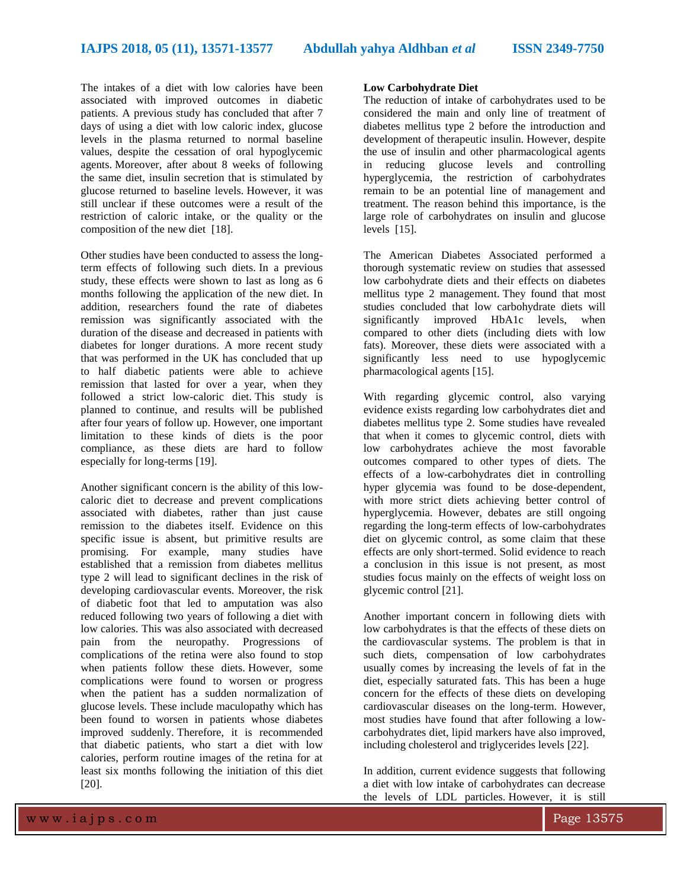The intakes of a diet with low calories have been associated with improved outcomes in diabetic patients. A previous study has concluded that after 7 days of using a diet with low caloric index, glucose levels in the plasma returned to normal baseline values, despite the cessation of oral hypoglycemic agents. Moreover, after about 8 weeks of following the same diet, insulin secretion that is stimulated by glucose returned to baseline levels. However, it was still unclear if these outcomes were a result of the restriction of caloric intake, or the quality or the composition of the new diet [18].

Other studies have been conducted to assess the longterm effects of following such diets. In a previous study, these effects were shown to last as long as 6 months following the application of the new diet. In addition, researchers found the rate of diabetes remission was significantly associated with the duration of the disease and decreased in patients with diabetes for longer durations. A more recent study that was performed in the UK has concluded that up to half diabetic patients were able to achieve remission that lasted for over a year, when they followed a strict low-caloric diet. This study is planned to continue, and results will be published after four years of follow up. However, one important limitation to these kinds of diets is the poor compliance, as these diets are hard to follow especially for long-terms [19].

Another significant concern is the ability of this lowcaloric diet to decrease and prevent complications associated with diabetes, rather than just cause remission to the diabetes itself. Evidence on this specific issue is absent, but primitive results are promising. For example, many studies have established that a remission from diabetes mellitus type 2 will lead to significant declines in the risk of developing cardiovascular events. Moreover, the risk of diabetic foot that led to amputation was also reduced following two years of following a diet with low calories. This was also associated with decreased pain from the neuropathy. Progressions of complications of the retina were also found to stop when patients follow these diets. However, some complications were found to worsen or progress when the patient has a sudden normalization of glucose levels. These include maculopathy which has been found to worsen in patients whose diabetes improved suddenly. Therefore, it is recommended that diabetic patients, who start a diet with low calories, perform routine images of the retina for at least six months following the initiation of this diet [20].

#### **Low Carbohydrate Diet**

The reduction of intake of carbohydrates used to be considered the main and only line of treatment of diabetes mellitus type 2 before the introduction and development of therapeutic insulin. However, despite the use of insulin and other pharmacological agents in reducing glucose levels and controlling hyperglycemia, the restriction of carbohydrates remain to be an potential line of management and treatment. The reason behind this importance, is the large role of carbohydrates on insulin and glucose levels [15].

The American Diabetes Associated performed a thorough systematic review on studies that assessed low carbohydrate diets and their effects on diabetes mellitus type 2 management. They found that most studies concluded that low carbohydrate diets will significantly improved HbA1c levels, when compared to other diets (including diets with low fats). Moreover, these diets were associated with a significantly less need to use hypoglycemic pharmacological agents [15].

With regarding glycemic control, also varying evidence exists regarding low carbohydrates diet and diabetes mellitus type 2. Some studies have revealed that when it comes to glycemic control, diets with low carbohydrates achieve the most favorable outcomes compared to other types of diets. The effects of a low-carbohydrates diet in controlling hyper glycemia was found to be dose-dependent, with more strict diets achieving better control of hyperglycemia. However, debates are still ongoing regarding the long-term effects of low-carbohydrates diet on glycemic control, as some claim that these effects are only short-termed. Solid evidence to reach a conclusion in this issue is not present, as most studies focus mainly on the effects of weight loss on glycemic control [21].

Another important concern in following diets with low carbohydrates is that the effects of these diets on the cardiovascular systems. The problem is that in such diets, compensation of low carbohydrates usually comes by increasing the levels of fat in the diet, especially saturated fats. This has been a huge concern for the effects of these diets on developing cardiovascular diseases on the long-term. However, most studies have found that after following a lowcarbohydrates diet, lipid markers have also improved, including cholesterol and triglycerides levels [22].

In addition, current evidence suggests that following a diet with low intake of carbohydrates can decrease the levels of LDL particles. However, it is still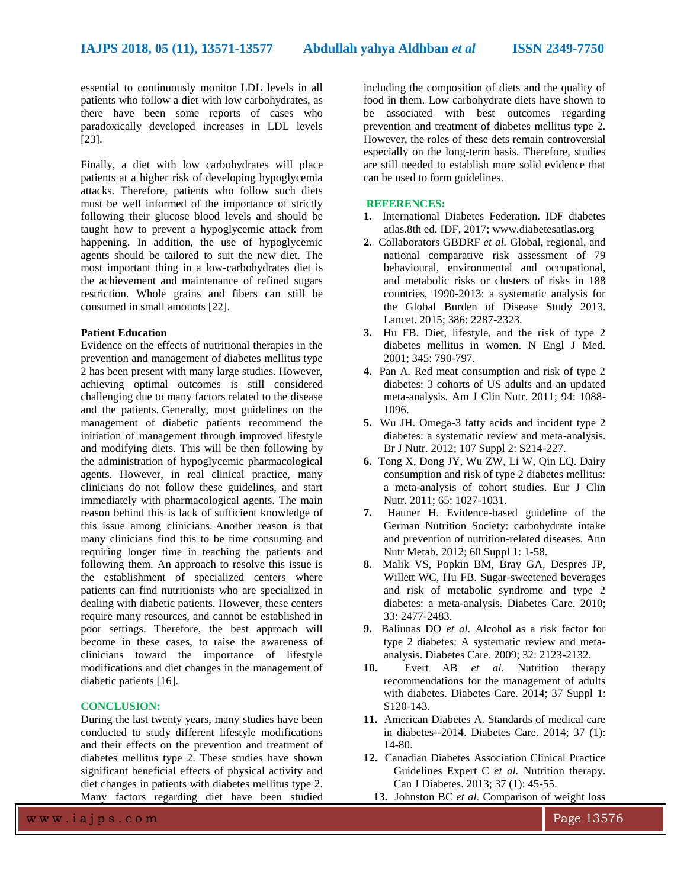essential to continuously monitor LDL levels in all patients who follow a diet with low carbohydrates, as there have been some reports of cases who paradoxically developed increases in LDL levels [23].

Finally, a diet with low carbohydrates will place patients at a higher risk of developing hypoglycemia attacks. Therefore, patients who follow such diets must be well informed of the importance of strictly following their glucose blood levels and should be taught how to prevent a hypoglycemic attack from happening. In addition, the use of hypoglycemic agents should be tailored to suit the new diet. The most important thing in a low-carbohydrates diet is the achievement and maintenance of refined sugars restriction. Whole grains and fibers can still be consumed in small amounts [22].

#### **Patient Education**

Evidence on the effects of nutritional therapies in the prevention and management of diabetes mellitus type 2 has been present with many large studies. However, achieving optimal outcomes is still considered challenging due to many factors related to the disease and the patients. Generally, most guidelines on the management of diabetic patients recommend the initiation of management through improved lifestyle and modifying diets. This will be then following by the administration of hypoglycemic pharmacological agents. However, in real clinical practice, many clinicians do not follow these guidelines, and start immediately with pharmacological agents. The main reason behind this is lack of sufficient knowledge of this issue among clinicians. Another reason is that many clinicians find this to be time consuming and requiring longer time in teaching the patients and following them. An approach to resolve this issue is the establishment of specialized centers where patients can find nutritionists who are specialized in dealing with diabetic patients. However, these centers require many resources, and cannot be established in poor settings. Therefore, the best approach will become in these cases, to raise the awareness of clinicians toward the importance of lifestyle modifications and diet changes in the management of diabetic patients [16].

#### **CONCLUSION:**

During the last twenty years, many studies have been conducted to study different lifestyle modifications and their effects on the prevention and treatment of diabetes mellitus type 2. These studies have shown significant beneficial effects of physical activity and diet changes in patients with diabetes mellitus type 2. Many factors regarding diet have been studied

including the composition of diets and the quality of food in them. Low carbohydrate diets have shown to be associated with best outcomes regarding prevention and treatment of diabetes mellitus type 2. However, the roles of these dets remain controversial especially on the long-term basis. Therefore, studies are still needed to establish more solid evidence that can be used to form guidelines.

#### **REFERENCES:**

- **1.** International Diabetes Federation. IDF diabetes atlas.8th ed. IDF, 2017; www.diabetesatlas.org
- **2.** Collaborators GBDRF *et al.* Global, regional, and national comparative risk assessment of 79 behavioural, environmental and occupational, and metabolic risks or clusters of risks in 188 countries, 1990-2013: a systematic analysis for the Global Burden of Disease Study 2013. Lancet. 2015; 386: 2287-2323.
- **3.** Hu FB*.* Diet, lifestyle, and the risk of type 2 diabetes mellitus in women. N Engl J Med. 2001; 345: 790-797.
- **4.** Pan A*.* Red meat consumption and risk of type 2 diabetes: 3 cohorts of US adults and an updated meta-analysis. Am J Clin Nutr. 2011; 94: 1088- 1096.
- **5.** Wu JH. Omega-3 fatty acids and incident type 2 diabetes: a systematic review and meta-analysis. Br J Nutr. 2012; 107 Suppl 2: S214-227.
- **6.** Tong X, Dong JY, Wu ZW, Li W, Qin LQ. Dairy consumption and risk of type 2 diabetes mellitus: a meta-analysis of cohort studies. Eur J Clin Nutr. 2011; 65: 1027-1031.
- **7.** Hauner H. Evidence-based guideline of the German Nutrition Society: carbohydrate intake and prevention of nutrition-related diseases. Ann Nutr Metab. 2012; 60 Suppl 1: 1-58.
- **8.** Malik VS, Popkin BM, Bray GA, Despres JP, Willett WC, Hu FB. Sugar-sweetened beverages and risk of metabolic syndrome and type 2 diabetes: a meta-analysis. Diabetes Care. 2010; 33: 2477-2483.
- **9.** Baliunas DO *et al.* Alcohol as a risk factor for type 2 diabetes: A systematic review and metaanalysis. Diabetes Care. 2009; 32: 2123-2132.
- **10.** Evert AB *et al.* Nutrition therapy recommendations for the management of adults with diabetes. Diabetes Care. 2014; 37 Suppl 1: S120-143.
- **11.** American Diabetes A. Standards of medical care in diabetes--2014. Diabetes Care. 2014; 37 (1): 14-80.
- **12.** Canadian Diabetes Association Clinical Practice Guidelines Expert C *et al.* Nutrition therapy. Can J Diabetes. 2013; 37 (1): 45-55.
	- **13.** Johnston BC *et al.* Comparison of weight loss